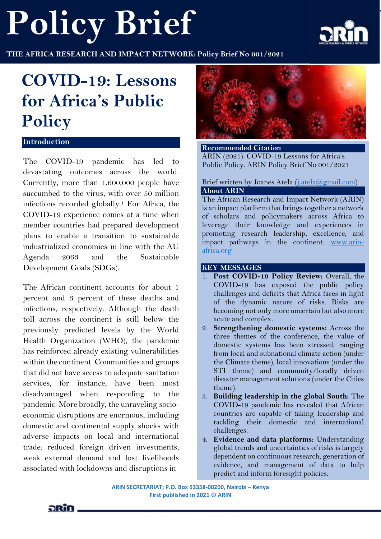# **Policy Brief**



**THE AFRICA RESEARCH AND IMPACT NETWORK: Policy Brief No 001/2021**

# **COVID-19: Lessons for Africa's Public Policy**

# **Introduction**

The COVID-19 pandemic has led to devastating outcomes across the world. Currently, more than 1,600,000 people have succumbed to the virus, with over 50 million infections recorded globally.<sup>1</sup> For Africa, the COVID-19 experience comes at a time when member countries had prepared development plans to enable a transition to sustainable industrialized economies in line with the AU Agenda 2063 and the Sustainable Development Goals (SDGs).

The African continent accounts for about 1 percent and 3 percent of these deaths and infections, respectively. Although the death toll across the continent is still below the previously predicted levels by the World Health Organization (WHO), the pandemic has reinforced already existing vulnerabilities within the continent. Communities and groups that did not have access to adequate sanitation services, for instance, have been most disadvantaged when responding to the pandemic. More broadly, the unraveling socioeconomic disruptions are enormous, including domestic and continental supply shocks with adverse impacts on local and international trade: reduced foreign driven investments; weak external demand and lost livelihoods associated with lockdowns and disruptions in

ฉณำ



#### **Recommended Citation**

ARIN (2021). COVID-19 Lessons for Africa's Public Policy. ARIN Policy Brief No 001/2021

#### Brief written by Joanes Atela [\(j.atela@gmail.com\)](mailto:j.atela@gmail.com) **About ARIN**

The African Research and Impact Network (ARIN) is an impact platform that brings together a network of scholars and policymakers across Africa to leverage their knowledge and experiences in promoting research leadership, excellence, and impact pathways in the continent. [www.arin](http://www.arin-africa.org/)[africa.org](http://www.arin-africa.org/)

## **KEY MESSAGES**

- 1. **Post COVID-19 Policy Review:** Overall, the COVID-19 has exposed the public policy challenges and deficits that Africa faces in light of the dynamic nature of risks. Risks are becoming not only more uncertain but also more acute and complex.
- 2. **Strengthening domestic systems:** Across the three themes of the conference, the value of domestic systems has been stressed, ranging from local and subnational climate action (under the Climate theme), local innovations (under the STI theme) and community/locally driven disaster management solutions (under the Cities theme).
- 3. **Building leadership in the global South:** The COVID-19 pandemic has revealed that African countries are capable of taking leadership and tackling their domestic and international challenges.
- 4. **Evidence and data platforms:** Understanding global trends and uncertainties of risks is largely dependent on continuous research, generation of evidence, and management of data to help predict and inform foresight policies.

**ARIN SECRETARIAT; P.O. Box 53358-00200, Nairobi – Kenya First published in 2021 © ARIN**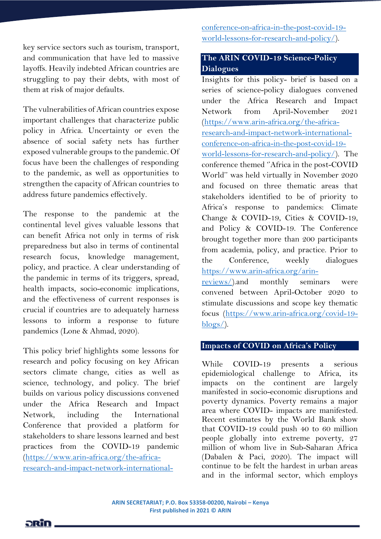key service sectors such as tourism, transport, and communication that have led to massive layoffs. Heavily indebted African countries are struggling to pay their debts, with most of them at risk of major defaults.

The vulnerabilities of African countries expose important challenges that characterize public policy in Africa. Uncertainty or even the absence of social safety nets has further exposed vulnerable groups to the pandemic. Of focus have been the challenges of responding to the pandemic, as well as opportunities to strengthen the capacity of African countries to address future pandemics effectively.

The response to the pandemic at the continental level gives valuable lessons that can benefit Africa not only in terms of risk preparedness but also in terms of continental research focus, knowledge management, policy, and practice. A clear understanding of the pandemic in terms of its triggers, spread, health impacts, socio-economic implications, and the effectiveness of current responses is crucial if countries are to adequately harness lessons to inform a response to future pandemics [\(Lone & Ahmad, 2020\).](https://www.zotero.org/google-docs/?hfvkAs)

This policy brief highlights some lessons for research and policy focusing on key African sectors climate change, cities as well as science, technology, and policy. The brief builds on various policy discussions convened under the Africa Research and Impact Network, including the International Conference that provided a platform for stakeholders to share lessons learned and best practices from the COVID-19 pandemic [\(https://www.arin-africa.org/the-africa](https://www.arin-africa.org/the-africa-research-and-impact-network-international-conference-on-africa-in-the-post-covid-19-world-lessons-for-research-and-policy/)[research-and-impact-network-international-](https://www.arin-africa.org/the-africa-research-and-impact-network-international-conference-on-africa-in-the-post-covid-19-world-lessons-for-research-and-policy/)

[conference-on-africa-in-the-post-covid-19](https://www.arin-africa.org/the-africa-research-and-impact-network-international-conference-on-africa-in-the-post-covid-19-world-lessons-for-research-and-policy/) [world-lessons-for-research-and-policy/\)](https://www.arin-africa.org/the-africa-research-and-impact-network-international-conference-on-africa-in-the-post-covid-19-world-lessons-for-research-and-policy/).

# **The ARIN COVID-19 Science-Policy Dialogues**

Insights for this policy- brief is based on a series of science-policy dialogues convened under the Africa Research and Impact Network from April-November 2021 [\(https://www.arin-africa.org/the-africa](https://www.arin-africa.org/the-africa-research-and-impact-network-international-conference-on-africa-in-the-post-covid-19-world-lessons-for-research-and-policy/)[research-and-impact-network-international](https://www.arin-africa.org/the-africa-research-and-impact-network-international-conference-on-africa-in-the-post-covid-19-world-lessons-for-research-and-policy/)[conference-on-africa-in-the-post-covid-19](https://www.arin-africa.org/the-africa-research-and-impact-network-international-conference-on-africa-in-the-post-covid-19-world-lessons-for-research-and-policy/) [world-lessons-for-research-and-policy/\)](https://www.arin-africa.org/the-africa-research-and-impact-network-international-conference-on-africa-in-the-post-covid-19-world-lessons-for-research-and-policy/). The conference themed ''Africa in the post-COVID World'' was held virtually in November 2020 and focused on three thematic areas that stakeholders identified to be of priority to Africa's response to pandemics: Climate Change & COVID-19, Cities & COVID-19, and Policy & COVID-19. The Conference brought together more than 200 participants from academia, policy, and practice. Prior to the Conference, weekly dialogues [https://www.arin-africa.org/arin-](https://www.arin-africa.org/arin-reviews/)

[reviews/\)](https://www.arin-africa.org/arin-reviews/).and monthly seminars were convened between April-October 2020 to stimulate discussions and scope key thematic focus [\(https://www.arin-africa.org/covid-19](https://www.arin-africa.org/covid-19-blogs/) [blogs/\)](https://www.arin-africa.org/covid-19-blogs/).

### **Impacts of COVID on Africa's Policy**

While COVID-19 presents a serious epidemiological challenge to Africa, its impacts on the continent are largely manifested in socio-economic disruptions and poverty dynamics. Poverty remains a major area where COVID- impacts are manifested. Recent estimates by the World Bank show that COVID-19 could push 40 to 60 million people globally into extreme poverty, 27 million of whom live in Sub-Saharan Africa [\(Dabalen & Paci, 2020\).](https://www.zotero.org/google-docs/?k1UJxH) The impact will continue to be felt the hardest in urban areas and in the informal sector, which employs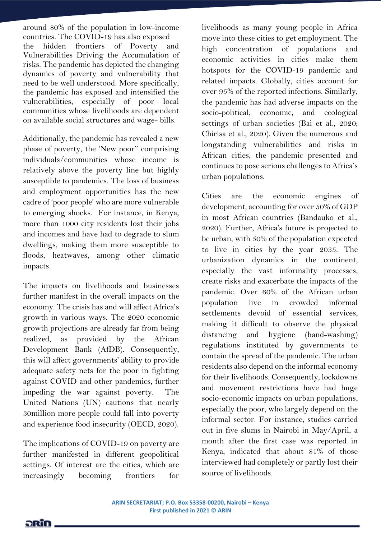around 80% of the population in low-income countries. The COVID-19 has also exposed the hidden frontiers of Poverty and Vulnerabilities Driving the Accumulation of risks. The pandemic has depicted the changing dynamics of poverty and vulnerability that need to be well understood. More specifically, the pandemic has exposed and intensified the vulnerabilities, especially of poor local communities whose livelihoods are dependent on available social structures and wage- bills.

Additionally, the pandemic has revealed a new phase of poverty, the 'New poor'' comprising individuals/communities whose income is relatively above the poverty line but highly susceptible to pandemics. The loss of business and employment opportunities has the new cadre of 'poor people' who are more vulnerable to emerging shocks. For instance, in Kenya, more than 1000 city residents lost their jobs and incomes and have had to degrade to slum dwellings, making them more susceptible to floods, heatwaves, among other climatic impacts.

The impacts on livelihoods and businesses further manifest in the overall impacts on the economy. The crisis has and will affect Africa's growth in various ways. The 2020 economic growth projections are already far from being realized, as provided by the African Development Bank (AfDB). Consequently, this will affect governments' ability to provide adequate safety nets for the poor in fighting against COVID and other pandemics, further impeding the war against poverty. The United Nations (UN) cautions that nearly 30million more people could fall into poverty and experience food insecurity (OECD, 2020).

The implications of COVID-19 on poverty are further manifested in different geopolitical settings. Of interest are the cities, which are increasingly becoming frontiers for

livelihoods as many young people in Africa move into these cities to get employment. The high concentration of populations and economic activities in cities make them hotspots for the COVID-19 pandemic and related impacts. Globally, cities account for over 95% of the reported infections. Similarly, the pandemic has had adverse impacts on the socio-political, economic, and ecological settings of urban societies [\(Bai et al., 2020;](https://www.zotero.org/google-docs/?jabqY1) [Chirisa et al., 2020\).](https://www.zotero.org/google-docs/?jabqY1) Given the numerous and longstanding vulnerabilities and risks in African cities, the pandemic presented and continues to pose serious challenges to Africa's urban populations.

Cities are the economic engines of development, accounting for over 50% of GDP in most African countries [\(Bandauko et al.,](https://www.zotero.org/google-docs/?YRxeWO)  [2020\).](https://www.zotero.org/google-docs/?YRxeWO) Further, Africa's future is projected to be urban, with 50% of the population expected to live in cities by the year 2035. The urbanization dynamics in the continent, especially the vast informality processes, create risks and exacerbate the impacts of the pandemic. Over 60% of the African urban population live in crowded informal settlements devoid of essential services, making it difficult to observe the physical distancing and hygiene (hand-washing) regulations instituted by governments to contain the spread of the pandemic. The urban residents also depend on the informal economy for their livelihoods. Consequently, lockdowns and movement restrictions have had huge socio-economic impacts on urban populations, especially the poor, who largely depend on the informal sector. For instance, studies carried out in five slums in Nairobi in May/April, a month after the first case was reported in Kenya, indicated that about 81% of those interviewed had completely or partly lost their source of livelihoods.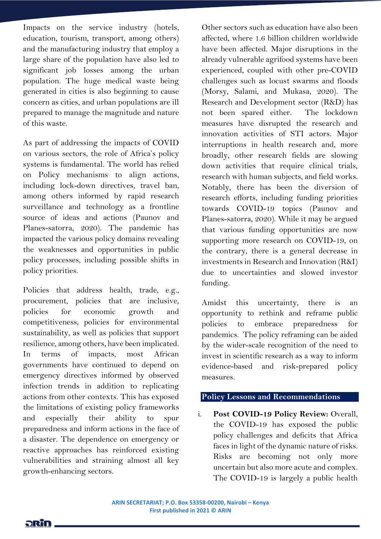Impacts on the service industry (hotels, education, tourism, transport, among others) and the manufacturing industry that employ a large share of the population have also led to significant job losses among the urban population. The huge medical waste being generated in cities is also beginning to cause concern as cities, and urban populations are ill prepared to manage the magnitude and nature of this waste.

As part of addressing the impacts of COVID on various sectors, the role of Africa's policy systems is fundamental. The world has relied on Policy mechanisms to align actions, including lock-down directives, travel ban, among others informed by rapid research surveillance and technology as a frontline source of ideas and actions (Paunov and Planes-satorra, 2020). The pandemic has impacted the various policy domains revealing the weaknesses and opportunities in public policy processes, including possible shifts in policy priorities.

Policies that address health, trade, e.g., procurement, policies that are inclusive, policies for economic growth and competitiveness, policies for environmental sustainability, as well as policies that support resilience, among others, have been implicated. In terms of impacts, most African governments have continued to depend on emergency directives informed by observed infection trends in addition to replicating actions from other contexts. This has exposed the limitations of existing policy frameworks and especially their ability to spur preparedness and inform actions in the face of a disaster. The dependence on emergency or reactive approaches has reinforced existing vulnerabilities and straining almost all key growth-enhancing sectors.

Other sectors such as education have also been affected, where 1.6 billion children worldwide have been affected. Major disruptions in the already vulnerable agrifood systems have been experienced, coupled with other pre-COVID challenges such as locust swarms and floods (Morsy, Salami, and Mukasa, 2020). The Research and Development sector (R&D) has not been spared either. The lockdown measures have disrupted the research and innovation activities of STI actors. Major interruptions in health research and, more broadly, other research fields are slowing down activities that require clinical trials, research with human subjects, and field works. Notably, there has been the diversion of research efforts, including funding priorities towards COVID-19 topics (Paunov and Planes-satorra, 2020). While it may be argued that various funding opportunities are now supporting more research on COVID-19, on the contrary, there is a general decrease in investments in Research and Innovation (R&I) due to uncertainties and slowed investor funding.

Amidst this uncertainty, there is an opportunity to rethink and reframe public policies to embrace preparedness for pandemics. The policy reframing can be aided by the wider-scale recognition of the need to invest in scientific research as a way to inform evidence-based and risk-prepared policy measures.

# **Policy Lessons and Recommendations**

i. **Post COVID-19 Policy Review:** Overall, the COVID-19 has exposed the public policy challenges and deficits that Africa faces in light of the dynamic nature of risks. Risks are becoming not only more uncertain but also more acute and complex. The COVID-19 is largely a public health

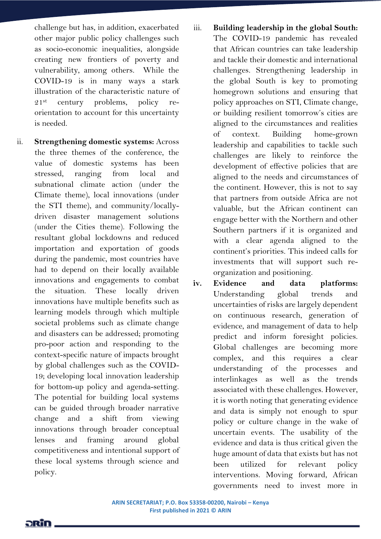challenge but has, in addition, exacerbated other major public policy challenges such as socio-economic inequalities, alongside creating new frontiers of poverty and vulnerability, among others. While the COVID-19 is in many ways a stark illustration of the characteristic nature of 21st century problems, policy reorientation to account for this uncertainty is needed.

- ii. **Strengthening domestic systems:** Across the three themes of the conference, the value of domestic systems has been stressed, ranging from local and subnational climate action (under the Climate theme), local innovations (under the STI theme), and community/locallydriven disaster management solutions (under the Cities theme). Following the resultant global lockdowns and reduced importation and exportation of goods during the pandemic, most countries have had to depend on their locally available innovations and engagements to combat the situation. These locally driven innovations have multiple benefits such as learning models through which multiple societal problems such as climate change and disasters can be addressed; promoting pro-poor action and responding to the context-specific nature of impacts brought by global challenges such as the COVID-19; developing local innovation leadership for bottom-up policy and agenda-setting. The potential for building local systems can be guided through broader narrative change and a shift from viewing innovations through broader conceptual lenses and framing around global competitiveness and intentional support of these local systems through science and policy.
- iii. **Building leadership in the global South:**  The COVID-19 pandemic has revealed that African countries can take leadership and tackle their domestic and international challenges. Strengthening leadership in the global South is key to promoting homegrown solutions and ensuring that policy approaches on STI, Climate change, or building resilient tomorrow's cities are aligned to the circumstances and realities of context. Building home-grown leadership and capabilities to tackle such challenges are likely to reinforce the development of effective policies that are aligned to the needs and circumstances of the continent. However, this is not to say that partners from outside Africa are not valuable, but the African continent can engage better with the Northern and other Southern partners if it is organized and with a clear agenda aligned to the continent's priorities. This indeed calls for investments that will support such reorganization and positioning.
- **iv. Evidence and data platforms:**  Understanding global trends and uncertainties of risks are largely dependent on continuous research, generation of evidence, and management of data to help predict and inform foresight policies. Global challenges are becoming more complex, and this requires a clear understanding of the processes and interlinkages as well as the trends associated with these challenges. However, it is worth noting that generating evidence and data is simply not enough to spur policy or culture change in the wake of uncertain events. The usability of the evidence and data is thus critical given the huge amount of data that exists but has not been utilized for relevant policy interventions. Moving forward, African governments need to invest more in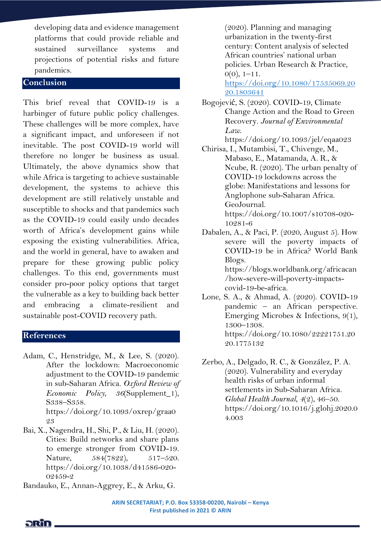developing data and evidence management platforms that could provide reliable and sustained surveillance systems and projections of potential risks and future pandemics.

# **Conclusion**

This brief reveal that COVID-19 is a harbinger of future public policy challenges. These challenges will be more complex, have a significant impact, and unforeseen if not inevitable. The post COVID-19 world will therefore no longer be business as usual. Ultimately, the above dynamics show that while Africa is targeting to achieve sustainable development, the systems to achieve this development are still relatively unstable and susceptible to shocks and that pandemics such as the COVID-19 could easily undo decades worth of Africa's development gains while exposing the existing vulnerabilities. Africa, and the world in general, have to awaken and prepare for these growing public policy challenges. To this end, governments must consider pro-poor policy options that target the vulnerable as a key to building back better and embracing a climate-resilient and sustainable post-COVID recovery path.

# **References**

- [Adam, C., Henstridge, M., & Lee, S. \(2020\).](https://www.zotero.org/google-docs/?CCbWtx)  [After the lockdown: Macroeconomic](https://www.zotero.org/google-docs/?CCbWtx)  [adjustment to the COVID-19 pandemic](https://www.zotero.org/google-docs/?CCbWtx)  [in sub-Saharan Africa.](https://www.zotero.org/google-docs/?CCbWtx) *[Oxford Review of](https://www.zotero.org/google-docs/?CCbWtx)  [Economic Policy](https://www.zotero.org/google-docs/?CCbWtx)*[,](https://www.zotero.org/google-docs/?CCbWtx) *[36](https://www.zotero.org/google-docs/?CCbWtx)*[\(Supplement\\_1\),](https://www.zotero.org/google-docs/?CCbWtx)  S338–[S358.](https://www.zotero.org/google-docs/?CCbWtx)  [https://doi.org/10.1093/oxrep/graa0](https://www.zotero.org/google-docs/?CCbWtx) [23](https://www.zotero.org/google-docs/?CCbWtx)
- Bai, X., Nagendra, H., Shi, P., & Liu, H. (2020). Cities: Build networks and share plans to emerge stronger from COVID-19. Nature, 584(7822), 517–520. https://doi.org/10.1038/d41586-020- 02459-2

Bandauko, E., Annan-Aggrey, E., & Arku, G.

(2020). Planning and managing urbanization in the twenty-first century: Content analysis of selected African countries' national urban policies. Urban Research & Practice,  $0(0)$ , 1–11. [https://doi.org/10.1080/17535069.20](https://doi.org/10.1080/17535069.2020.1803641)

[20.1803641](https://doi.org/10.1080/17535069.2020.1803641)

Bogojević[, S. \(2020\). COVID-19, Climate](https://www.zotero.org/google-docs/?CCbWtx)  [Change Action and the Road to Green](https://www.zotero.org/google-docs/?CCbWtx)  [Recovery.](https://www.zotero.org/google-docs/?CCbWtx) *Journal of [Environmental](https://www.zotero.org/google-docs/?CCbWtx)  [Law](https://www.zotero.org/google-docs/?CCbWtx)*[.](https://www.zotero.org/google-docs/?CCbWtx) 

[https://doi.org/10.1093/jel/eqaa023](https://www.zotero.org/google-docs/?CCbWtx)

- Chirisa, I., Mutambisi, T., Chivenge, M., Mabaso, E., Matamanda, A. R., & Ncube, R. (2020). The urban penalty of COVID-19 lockdowns across the globe: Manifestations and lessons for Anglophone sub-Saharan Africa. GeoJournal. https://doi.org/10.1007/s10708-020- 10281-6
- Dabalen, A., & Paci, P. (2020, August 5). How severe will the poverty impacts of COVID-19 be in Africa? World Bank Blogs. https://blogs.worldbank.org/africacan /how-severe-will-poverty-impactscovid-19-be-africa.
- Lone, S. A., & Ahmad, A. (2020). COVID-19 pandemic – an African perspective. Emerging Microbes & Infections, 9(1), 1300–1308. https://doi.org/10.1080/22221751.20 20.1775132
- [Zerbo, A., Delgado, R. C., & González, P. A.](https://www.zotero.org/google-docs/?CCbWtx)  [\(2020\). Vulnerability and everyday](https://www.zotero.org/google-docs/?CCbWtx)  [health risks of urban informal](https://www.zotero.org/google-docs/?CCbWtx)  [settlements in Sub-Saharan Africa.](https://www.zotero.org/google-docs/?CCbWtx)  *[Global Health Journal](https://www.zotero.org/google-docs/?CCbWtx)*[,](https://www.zotero.org/google-docs/?CCbWtx) *[4](https://www.zotero.org/google-docs/?CCbWtx)*[\(2\), 46](https://www.zotero.org/google-docs/?CCbWtx)–50. [https://doi.org/10.1016/j.glohj.2020.0](https://www.zotero.org/google-docs/?CCbWtx) [4.003](https://www.zotero.org/google-docs/?CCbWtx)

**ARIN SECRETARIAT; P.O. Box 53358-00200, Nairobi – Kenya First published in 2021 © ARIN**